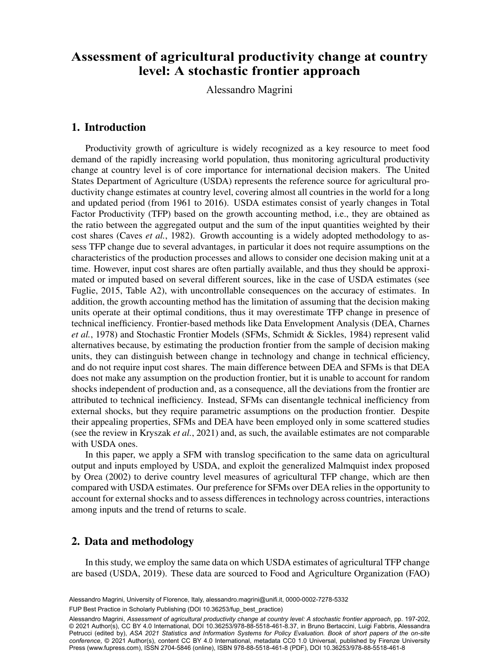# Assessment of agricultural productivity change at country level: A stochastic frontier approach

 $\Delta$ lessandro Maorini Alessandro Magrini

## 1. Introduction

Productivity growth of agriculture is widely recognized as a key resource to meet food demand of the rapidly increasing world population, thus monitoring agricultural productivity change at country level is of core importance for international decision makers. The United States Department of Agriculture (USDA) represents the reference source for agricultural productivity change estimates at country level, covering almost all countries in the world for a long and updated period (from 1961 to 2016). USDA estimates consist of yearly changes in Total Factor Productivity (TFP) based on the growth accounting method, i.e., they are obtained as the ratio between the aggregated output and the sum of the input quantities weighted by their cost shares (Caves *et al.*, 1982). Growth accounting is a widely adopted methodology to assess TFP change due to several advantages, in particular it does not require assumptions on the characteristics of the production processes and allows to consider one decision making unit at a time. However, input cost shares are often partially available, and thus they should be approximated or imputed based on several different sources, like in the case of USDA estimates (see Fuglie, 2015, Table A2), with uncontrollable consequences on the accuracy of estimates. In addition, the growth accounting method has the limitation of assuming that the decision making units operate at their optimal conditions, thus it may overestimate TFP change in presence of technical inefficiency. Frontier-based methods like Data Envelopment Analysis (DEA, Charnes *et al.*, 1978) and Stochastic Frontier Models (SFMs, Schmidt & Sickles, 1984) represent valid alternatives because, by estimating the production frontier from the sample of decision making units, they can distinguish between change in technology and change in technical efficiency, and do not require input cost shares. The main difference between DEA and SFMs is that DEA does not make any assumption on the production frontier, but it is unable to account for random shocks independent of production and, as a consequence, all the deviations from the frontier are attributed to technical inefficiency. Instead, SFMs can disentangle technical inefficiency from external shocks, but they require parametric assumptions on the production frontier. Despite their appealing properties, SFMs and DEA have been employed only in some scattered studies (see the review in Kryszak *et al.*, 2021) and, as such, the available estimates are not comparable with USDA ones.

In this paper, we apply a SFM with translog specification to the same data on agricultural output and inputs employed by USDA, and exploit the generalized Malmquist index proposed by Orea (2002) to derive country level measures of agricultural TFP change, which are then compared with USDA estimates. Our preference for SFMs over DEA relies in the opportunity to account for external shocks and to assess differences in technology across countries, interactions among inputs and the trend of returns to scale.

### 2. Data and methodology

In this study, we employ the same data on which USDA estimates of agricultural TFP change are based (USDA, 2019). These data are sourced to Food and Agriculture Organization (FAO)

Alessandro Magrini, University of Florence, Italy, [alessandro.magrini@unifi.it,](mailto:alessandro.magrini@unifi.it) [0000-0002-7278-5332](https://orcid.org/0000-0002-7278-5332) FUP Best Practice in Scholarly Publishing (DOI [10.36253/fup\\_best\\_practice](https://doi.org/10.36253/fup_best_practice))

Alessandro Magrini, Assessment or agricultural productivity change at country level: A stochastic frontier approach, pp. 197-202,<br>© 2021 Author(s), [CC BY 4.0 International](http://creativecommons.org/licenses/by/4.0/legalcode), DOI [10.36253/978-88-5518-461-8.37,](https://doi.org/10.36253/978-88-5518-461-8.37) in Bruno Berta Alessandro Magrini, *Assessment of agricultural productivity change at country level: A stochastic frontier approach*, pp. 197-202, Petrucci (edited by), *ASA 2021 Statistics and Information Systems for Policy Evaluation. Book of short papers of the on-site conference*, © 2021 Author(s), content [CC BY 4.0 International,](http://creativecommons.org/licenses/by/4.0/legalcode) metadata [CC0 1.0 Universal,](https://creativecommons.org/publicdomain/zero/1.0/legalcode) published by Firenze University Press ([www.fupress.com\)](http://www.fupress.com), ISSN 2704-5846 (online), ISBN 978-88-5518-461-8 (PDF), DOI [10.36253/978-88-5518-461-8](https://doi.org/10.36253/978-88-5518-461-8)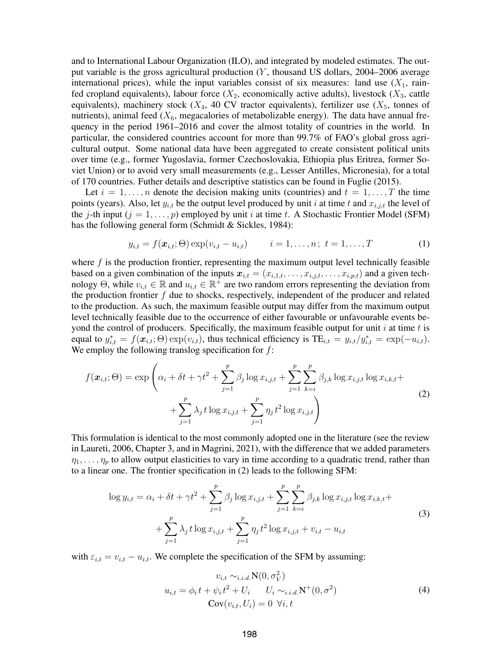and to International Labour Organization (ILO), and integrated by modeled estimates. The output variable is the gross agricultural production  $(Y,$  thousand US dollars, 2004–2006 average international prices), while the input variables consist of six measures: land use  $(X_1, \text{ rain-})$ fed cropland equivalents), labour force  $(X_2)$ , economically active adults), livestock  $(X_3)$ , cattle equivalents), machinery stock ( $X_4$ , 40 CV tractor equivalents), fertilizer use ( $X_5$ , tonnes of nutrients), animal feed  $(X_6$ , megacalories of metabolizable energy). The data have annual frequency in the period 1961–2016 and cover the almost totality of countries in the world. In particular, the considered countries account for more than 99.7% of FAO's global gross agricultural output. Some national data have been aggregated to create consistent political units over time (e.g., former Yugoslavia, former Czechoslovakia, Ethiopia plus Eritrea, former Soviet Union) or to avoid very small measurements (e.g., Lesser Antilles, Micronesia), for a total of 170 countries. Futher details and descriptive statistics can be found in Fuglie (2015).

Let  $i = 1, \ldots, n$  denote the decision making units (countries) and  $t = 1, \ldots, T$  the time points (years). Also, let  $y_{i,t}$  be the output level produced by unit i at time t and  $x_{i,j,t}$  the level of the j-th input  $(j = 1, \ldots, p)$  employed by unit i at time t. A Stochastic Frontier Model (SFM) has the following general form (Schmidt & Sickles, 1984):

$$
y_{i,t} = f(\boldsymbol{x}_{i,t}; \Theta) \exp(v_{i,t} - u_{i,t}) \qquad i = 1, ..., n; \ t = 1, ..., T
$$
 (1)

where  $f$  is the production frontier, representing the maximum output level technically feasible based on a given combination of the inputs  $x_{i,t} = (x_{i,1,t}, \ldots, x_{i,j,t}, \ldots, x_{i,p,t})$  and a given technology Θ, while  $v_{i,t} \in \mathbb{R}$  and  $u_{i,t} \in \mathbb{R}^+$  are two random errors representing the deviation from the production frontier  $f$  due to shocks, respectively, independent of the producer and related to the production. As such, the maximum feasible output may differ from the maximum output level technically feasible due to the occurrence of either favourable or unfavourable events beyond the control of producers. Specifically, the maximum feasible output for unit  $i$  at time  $t$  is equal to  $y_{i,t}^* = f(\mathbf{x}_{i,t}, \Theta) \exp(v_{i,t})$ , thus technical efficiency is  $TE_{i,t} = y_{i,t}/y_{i,t}^* = \exp(-u_{i,t})$ . We employ the following translog specification for  $f$ :

$$
f(\mathbf{x}_{i,t};\Theta) = \exp\left(\alpha_i + \delta t + \gamma t^2 + \sum_{j=1}^p \beta_j \log x_{i,j,t} + \sum_{j=1}^p \sum_{k=i}^p \beta_{j,k} \log x_{i,j,t} \log x_{i,k,t} + \sum_{j=1}^p \lambda_j t \log x_{i,j,t} + \sum_{j=1}^p \eta_j t^2 \log x_{i,j,t}\right)
$$
\n(2)

This formulation is identical to the most commonly adopted one in the literature (see the review in Laureti, 2006, Chapter 3, and in Magrini, 2021), with the difference that we added parameters  $\eta_1, \ldots, \eta_p$  to allow output elasticities to vary in time according to a quadratic trend, rather than to a linear one. The frontier specification in (2) leads to the following SFM:

$$
\log y_{i,t} = \alpha_i + \delta t + \gamma t^2 + \sum_{j=1}^p \beta_j \log x_{i,j,t} + \sum_{j=1}^p \sum_{k=i}^p \beta_{j,k} \log x_{i,j,t} \log x_{i,k,t} + \sum_{j=1}^p \lambda_j t \log x_{i,j,t} + \sum_{j=1}^p \eta_j t^2 \log x_{i,j,t} + v_{i,t} - u_{i,t}
$$
\n(3)

with  $\varepsilon_{i,t} = v_{i,t} - u_{i,t}$ . We complete the specification of the SFM by assuming:

$$
v_{i,t} \sim_{i.i.d.} \mathbf{N}(0, \sigma_V^2)
$$
  

$$
u_{i,t} = \phi_i t + \psi_i t^2 + U_i \qquad U_i \sim_{i.i.d.} \mathbf{N}^+(0, \sigma^2)
$$
  

$$
\mathbf{Cov}(v_{i,t}, U_i) = 0 \quad \forall i, t
$$
 (4)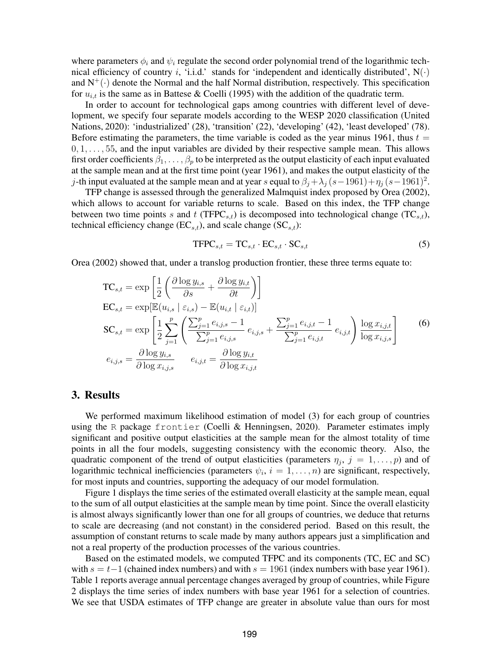where parameters  $\phi_i$  and  $\psi_i$  regulate the second order polynomial trend of the logarithmic technical efficiency of country i, 'i.i.d.' stands for 'independent and identically distributed',  $N(\cdot)$ and  $N^+(\cdot)$  denote the Normal and the half Normal distribution, respectively. This specification for  $u_{i,t}$  is the same as in Battese & Coelli (1995) with the addition of the quadratic term.

In order to account for technological gaps among countries with different level of development, we specify four separate models according to the WESP 2020 classification (United Nations, 2020): 'industrialized' (28), 'transition' (22), 'developing' (42), 'least developed' (78). Before estimating the parameters, the time variable is coded as the year minus 1961, thus  $t =$  $0, 1, \ldots, 55$ , and the input variables are divided by their respective sample mean. This allows first order coefficients  $\beta_1, \ldots, \beta_p$  to be interpreted as the output elasticity of each input evaluated at the sample mean and at the first time point (year 1961), and makes the output elasticity of the j-th input evaluated at the sample mean and at year s equal to  $\beta_j + \lambda_j (s-1961) + \eta_j (s-1961)^2$ .

TFP change is assessed through the generalized Malmquist index proposed by Orea (2002), which allows to account for variable returns to scale. Based on this index, the TFP change between two time points s and t (TFPC<sub>s,t</sub>) is decomposed into technological change (TC<sub>s,t</sub>), technical efficiency change  $(EC_{s,t})$ , and scale change  $(SC_{s,t})$ :

$$
\text{TFPC}_{s,t} = \text{TC}_{s,t} \cdot \text{EC}_{s,t} \cdot \text{SC}_{s,t} \tag{5}
$$

Orea (2002) showed that, under a translog production frontier, these three terms equate to:

$$
TC_{s,t} = \exp\left[\frac{1}{2}\left(\frac{\partial \log y_{i,s}}{\partial s} + \frac{\partial \log y_{i,t}}{\partial t}\right)\right]
$$
  
\n
$$
EC_{s,t} = \exp\left[\mathbb{E}(u_{i,s} \mid \varepsilon_{i,s}) - \mathbb{E}(u_{i,t} \mid \varepsilon_{i,t})\right]
$$
  
\n
$$
SC_{s,t} = \exp\left[\frac{1}{2}\sum_{j=1}^{p}\left(\frac{\sum_{j=1}^{p} e_{i,j,s} - 1}{\sum_{j=1}^{p} e_{i,j,s}} e_{i,j,s} + \frac{\sum_{j=1}^{p} e_{i,j,t} - 1}{\sum_{j=1}^{p} e_{i,j,t}} e_{i,j,t}\right) \frac{\log x_{i,j,t}}{\log x_{i,j,s}}
$$
  
\n
$$
e_{i,j,s} = \frac{\partial \log y_{i,s}}{\partial \log x_{i,j,s}} \qquad e_{i,j,t} = \frac{\partial \log y_{i,t}}{\partial \log x_{i,j,t}}
$$
 (6)

#### 3. Results

We performed maximum likelihood estimation of model (3) for each group of countries using the R package frontier (Coelli & Henningsen, 2020). Parameter estimates imply significant and positive output elasticities at the sample mean for the almost totality of time points in all the four models, suggesting consistency with the economic theory. Also, the quadratic component of the trend of output elasticities (parameters  $\eta_i$ ,  $j = 1, \ldots, p$ ) and of logarithmic technical inefficiencies (parameters  $\psi_i$ ,  $i = 1, \ldots, n$ ) are significant, respectively, for most inputs and countries, supporting the adequacy of our model formulation.

Figure 1 displays the time series of the estimated overall elasticity at the sample mean, equal to the sum of all output elasticities at the sample mean by time point. Since the overall elasticity is almost always significantly lower than one for all groups of countries, we deduce that returns to scale are decreasing (and not constant) in the considered period. Based on this result, the assumption of constant returns to scale made by many authors appears just a simplification and not a real property of the production processes of the various countries.

Based on the estimated models, we computed TFPC and its components (TC, EC and SC) with  $s = t-1$  (chained index numbers) and with  $s = 1961$  (index numbers with base year 1961). Table 1 reports average annual percentage changes averaged by group of countries, while Figure 2 displays the time series of index numbers with base year 1961 for a selection of countries. We see that USDA estimates of TFP change are greater in absolute value than ours for most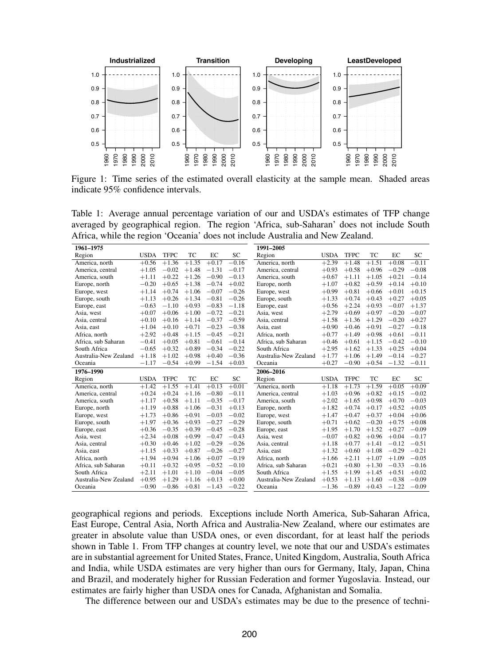

Figure 1: Time series of the estimated overall elasticity at the sample mean. Shaded areas indicate 95% confidence intervals.

Table 1: Average annual percentage variation of our and USDA's estimates of TFP change averaged by geographical region. The region 'Africa, sub-Saharan' does not include South Africa, while the region 'Oceania' does not include Australia and New Zealand.

| 1961-1975             |             |             |         |         |           | 1991-2005             |             |             |                    |         |         |
|-----------------------|-------------|-------------|---------|---------|-----------|-----------------------|-------------|-------------|--------------------|---------|---------|
| Region                | <b>USDA</b> | <b>TFPC</b> | TC      | EC      | <b>SC</b> | Region                | <b>USDA</b> | <b>TFPC</b> | TC                 | EC      | SС      |
| America, north        | $+0.56$     | $+1.36$     | $+1.35$ | $+0.17$ | $-0.16$   | America, north        | $+2.39$     | $+1.48$     | $+1.51$            | $+0.08$ | $-0.11$ |
| America, central      | $+1.05$     | $-0.02$     | $+1.48$ | $-1.31$ | $-0.17$   | America, central      | $+0.93$     | $+0.58$     | $+0.96$            | $-0.29$ | $-0.08$ |
| America, south        | $+1.11$     | $+0.22$     | $+1.26$ | $-0.90$ | $-0.13$   | America, south        | $+0.67$     | $+1.11$     | $+1.05$            | $+0.21$ | $-0.14$ |
| Europe, north         | $-0.20$     | $+0.65$     | $+1.38$ | $-0.74$ | $+0.02$   | Europe, north         | $+1.07$     | $+0.82$     | $+0.59$            | $+0.14$ | $+0.10$ |
| Europe, west          | $+1.14$     | $+0.74$     | $+1.06$ | $-0.07$ | $-0.26$   | Europe, west          | $+0.99$     | $+0.81$     | $+0.66$            | $+0.01$ | $+0.15$ |
| Europe, south         | $+1.13$     | $+0.26$     | $+1.34$ | $-0.81$ | $-0.26$   | Europe, south         | $+1.33$     | $+0.74$     | $+0.43$            | $+0.27$ | $+0.05$ |
| Europe, east          | $-0.63$     | $-1.10$     | $+0.93$ | $-0.83$ | $-1.18$   | Europe, east          | $+0.56$     | $+2.24$     | $+0.93$            | $-0.07$ | $+1.37$ |
| Asia, west            | $+0.07$     | $+0.06$     | $+1.00$ | $-0.72$ | $-0.21$   | Asia, west            | $+2.79$     | $+0.69$     | $+0.97$            | $-0.20$ | $-0.07$ |
| Asia, central         | $+0.10$     | $+0.16$     | $+1.14$ | $-0.37$ | $-0.59$   | Asia, central         | $+1.58$     | $+1.36$     | $+1.29$            | $-0.20$ | $+0.27$ |
| Asia, east            | $+1.04$     | $+0.10$     | $+0.71$ | $-0.23$ | $-0.38$   | Asia, east            | $+0.90$     | $+0.46$     | $+0.91$            | $-0.27$ | $-0.18$ |
| Africa, north         | $+2.92$     | $+0.48$     | $+1.15$ | $-0.45$ | $-0.21$   | Africa, north         | $+0.77$     | $+1.49$     | $+0.98$            | $+0.61$ | $-0.11$ |
| Africa, sub Saharan   | $-0.41$     | $+0.05$     | $+0.81$ | $-0.61$ | $-0.14$   | Africa, sub Saharan   | $+0.46$     | $+0.61$     | $+1.15$            | $-0.42$ | $-0.10$ |
| South Africa          | $-0.65$     | $+0.32$     | $+0.89$ | $-0.34$ | $-0.22$   | South Africa          | $+2.95$     | $+1.62$     | $+1.33$            | $+0.25$ | $+0.04$ |
| Australia-New Zealand | $+1.18$     | $+1.02$     | $+0.98$ | $+0.40$ | $-0.36$   | Australia-New Zealand | $+1.77$     | $+1.06$     | $+1.49$            | $-0.14$ | $-0.27$ |
| Oceania               | $-1.17$     | $-0.54$     | $+0.99$ | $-1.54$ | $+0.03$   | Oceania               | $+0.27$     | $-0.90$     | $+0.54$            | $-1.32$ | $-0.11$ |
| 1976-1990             |             |             |         |         |           | 2006-2016             |             |             |                    |         |         |
| Region                | <b>USDA</b> | <b>TFPC</b> | TC      | EC      | SC        | Region                | <b>USDA</b> | <b>TFPC</b> | TC                 | EC      | SC      |
| America, north        | $+1.42$     | $+1.55$     | $+1.41$ | $+0.13$ | $+0.01$   | America, north        | $+1.18$     | $+1.73$     | $+1.\overline{59}$ | $+0.05$ | $+0.09$ |
| America, central      | $+0.24$     | $+0.24$     | $+1.16$ | $-0.80$ | $-0.11$   | America, central      | $+1.03$     | $+0.96$     | $+0.82$            | $+0.15$ | $-0.02$ |
| America, south        | $+1.17$     | $+0.58$     | $+1.11$ | $-0.35$ | $-0.17$   | America, south        | $+2.02$     | $+1.65$     | $+0.98$            | $+0.70$ | $-0.03$ |
| Europe, north         | $+1.19$     | $+0.88$     | $+1.06$ | $-0.31$ | $+0.13$   | Europe, north         | $+1.82$     | $+0.74$     | $+0.17$            | $+0.52$ | $+0.05$ |
| Europe, west          | $+1.73$     | $+0.86$     | $+0.91$ | $-0.03$ | $-0.02$   | Europe, west          | $+1.47$     | $+0.47$     | $+0.37$            | $+0.04$ | $+0.06$ |
| Europe, south         | $+1.97$     | $+0.36$     | $+0.93$ | $-0.27$ | $-0.29$   | Europe, south         | $+0.71$     | $+0.62$     | $-0.20$            | $+0.75$ | $+0.08$ |
| Europe, east          | $+0.36$     | $-0.35$     | $+0.39$ | $-0.45$ | $-0.28$   | Europe, east          | $+1.95$     | $+1.70$     | $+1.52$            | $+0.27$ | $-0.09$ |
| Asia, west            | $+2.34$     | $+0.08$     | $+0.99$ | $-0.47$ | $-0.43$   | Asia, west            | $-0.07$     | $+0.82$     | $+0.96$            | $+0.04$ | $-0.17$ |
| Asia, central         | $+0.30$     | $+0.46$     | $+1.02$ | $-0.29$ | $-0.26$   | Asia, central         | $+1.18$     | $+0.77$     | $+1.41$            | $-0.12$ | $-0.51$ |
| Asia, east            | $+1.15$     | $+0.33$     | $+0.87$ | $-0.26$ | $-0.27$   | Asia, east            | $+1.32$     | $+0.60$     | $+1.08$            | $-0.29$ | $-0.21$ |
| Africa, north         | $+1.94$     | $+0.94$     | $+1.06$ | $+0.07$ | $-0.19$   | Africa, north         | $+1.66$     | $+2.11$     | $+1.07$            | $+1.09$ | $-0.05$ |
| Africa, sub Saharan   | $+0.11$     | $+0.32$     | $+0.95$ | $-0.52$ | $-0.10$   | Africa, sub Saharan   | $+0.21$     | $+0.80$     | $+1.30$            | $-0.33$ | $-0.16$ |
| South Africa          | $+2.11$     | $+1.01$     | $+1.10$ | $-0.04$ | $-0.05$   | South Africa          | $+1.55$     | $+1.99$     | $+1.45$            | $+0.51$ | $+0.02$ |
| Australia-New Zealand | $+0.95$     | $+1.29$     | $+1.16$ | $+0.13$ | $+0.00$   | Australia-New Zealand | $+0.53$     | $+1.13$     | $+1.60$            | $-0.38$ | $-0.09$ |
| Oceania               | $-0.90$     | $-0.86$     | $+0.81$ | $-1.43$ | $-0.22$   | Oceania               | $-1.36$     | $-0.89$     | $+0.43$            | $-1.22$ | $-0.09$ |

geographical regions and periods. Exceptions include North America, Sub-Saharan Africa, East Europe, Central Asia, North Africa and Australia-New Zealand, where our estimates are greater in absolute value than USDA ones, or even discordant, for at least half the periods shown in Table 1. From TFP changes at country level, we note that our and USDA's estimates are in substantial agreement for United States, France, United Kingdom, Australia, South Africa and India, while USDA estimates are very higher than ours for Germany, Italy, Japan, China and Brazil, and moderately higher for Russian Federation and former Yugoslavia. Instead, our estimates are fairly higher than USDA ones for Canada, Afghanistan and Somalia.

The difference between our and USDA's estimates may be due to the presence of techni-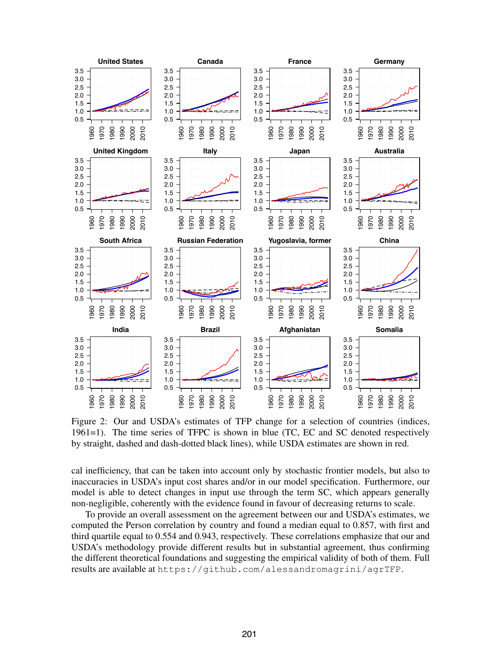

Figure 2: Our and USDA's estimates of TFP change for a selection of countries (indices, 1961=1). The time series of TFPC is shown in blue (TC, EC and SC denoted respectively by straight, dashed and dash-dotted black lines), while USDA estimates are shown in red.

cal inefficiency, that can be taken into account only by stochastic frontier models, but also to inaccuracies in USDA's input cost shares and/or in our model specification. Furthermore, our model is able to detect changes in input use through the term SC, which appears generally non-negligible, coherently with the evidence found in favour of decreasing returns to scale.

To provide an overall assessment on the agreement between our and USDA's estimates, we computed the Person correlation by country and found a median equal to 0.857, with first and third quartile equal to 0.554 and 0.943, respectively. These correlations emphasize that our and USDA's methodology provide different results but in substantial agreement, thus confirming the different theoretical foundations and suggesting the empirical validity of both of them. Full results are available at https://github.com/alessandromagrini/agrTFP.